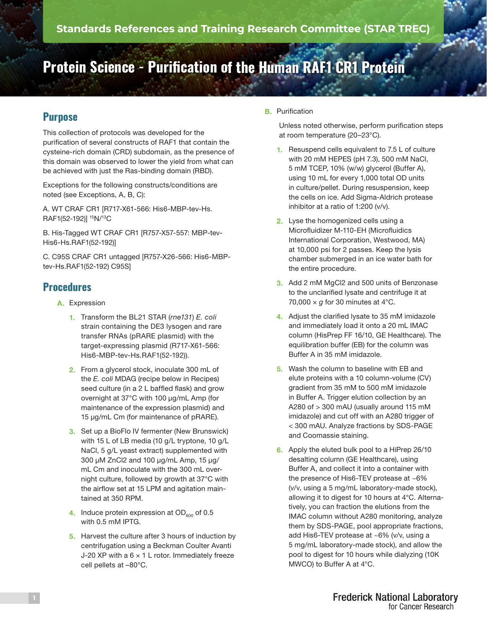# **Protein Science - Purification of the Human RAF1 CR1 Protein**

## **Purpose**

This collection of protocols was developed for the purification of several constructs of RAF1 that contain the cysteine-rich domain (CRD) subdomain, as the presence of this domain was observed to lower the yield from what can be achieved with just the Ras-binding domain (RBD).

Exceptions for the following constructs/conditions are noted (see Exceptions, A, B, C):

A. WT CRAF CR1 [R717-X61-566: His6-MBP-tev-Hs. RAF1(52-192)] <sup>15</sup>N/<sup>13</sup>C

B. His-Tagged WT CRAF CR1 [R757-X57-557: MBP-tev-His6-Hs.RAF1(52-192)]

C. C95S CRAF CR1 untagged [R757-X26-566: His6-MBPtev-Hs.RAF1(52-192) C95S]

## **Procedures**

- A. Expression
	- 1. Transform the BL21 STAR (*rne131*) *E. coli*  strain containing the DE3 lysogen and rare transfer RNAs (pRARE plasmid) with the target-expressing plasmid (R717-X61-566: His6-MBP-tev-Hs.RAF1(52-192)).
	- 2. From a glycerol stock, inoculate 300 mL of the *E. coli* MDAG (recipe below in Recipes) seed culture (in a 2 L baffled flask) and grow overnight at 37°C with 100 μg/mL Amp (for maintenance of the expression plasmid) and 15 μg/mL Cm (for maintenance of pRARE).
	- 3. Set up a BioFlo IV fermenter (New Brunswick) with 15 L of LB media (10 g/L tryptone, 10 g/L NaCl, 5 g/L yeast extract) supplemented with 300 μM ZnCl2 and 100 μg/mL Amp, 15 μg/ mL Cm and inoculate with the 300 mL overnight culture, followed by growth at 37°C with the airflow set at 15 LPM and agitation maintained at 350 RPM.
	- 4. Induce protein expression at  $OD<sub>600</sub>$  of 0.5 with 0.5 mM IPTG.
	- 5. Harvest the culture after 3 hours of induction by centrifugation using a Beckman Coulter Avanti J-20 XP with a  $6 \times 1$  L rotor. Immediately freeze cell pellets at –80°C.

B. Purification

Unless noted otherwise, perform purification steps at room temperature (20–23°C).

- 1. Resuspend cells equivalent to 7.5 L of culture with 20 mM HEPES (pH 7.3), 500 mM NaCl, 5 mM TCEP, 10% (w/w) glycerol (Buffer A), using 10 mL for every 1,000 total OD units in culture/pellet. During resuspension, keep the cells on ice. Add Sigma-Aldrich protease inhibitor at a ratio of 1:200 (v/v).
- 2. Lyse the homogenized cells using a Microfluidizer M-110-EH (Microfluidics International Corporation, Westwood, MA) at 10,000 psi for 2 passes. Keep the lysis chamber submerged in an ice water bath for the entire procedure.
- 3. Add 2 mM MgCl2 and 500 units of Benzonase to the unclarified lysate and centrifuge it at 70,000  $\times$  *g* for 30 minutes at 4°C.
- 4. Adjust the clarified lysate to 35 mM imidazole and immediately load it onto a 20 mL IMAC column (HisPrep FF 16/10, GE Healthcare). The equilibration buffer (EB) for the column was Buffer A in 35 mM imidazole.
- 5. Wash the column to baseline with EB and elute proteins with a 10 column-volume (CV) gradient from 35 mM to 500 mM imidazole in Buffer A. Trigger elution collection by an A280 of > 300 mAU (usually around 115 mM imidazole) and cut off with an A280 trigger of < 300 mAU. Analyze fractions by SDS-PAGE and Coomassie staining.
- 6. Apply the eluted bulk pool to a HiPrep 26/10 desalting column (GE Healthcare), using Buffer A, and collect it into a container with the presence of His6-TEV protease at ~6% (v/v, using a 5 mg/mL laboratory-made stock), allowing it to digest for 10 hours at 4°C. Alternatively, you can fraction the elutions from the IMAC column without A280 monitoring, analyze them by SDS-PAGE, pool appropriate fractions, add His6-TEV protease at ~6% (v/v, using a 5 mg/mL laboratory-made stock), and allow the pool to digest for 10 hours while dialyzing (10K MWCO) to Buffer A at 4°C.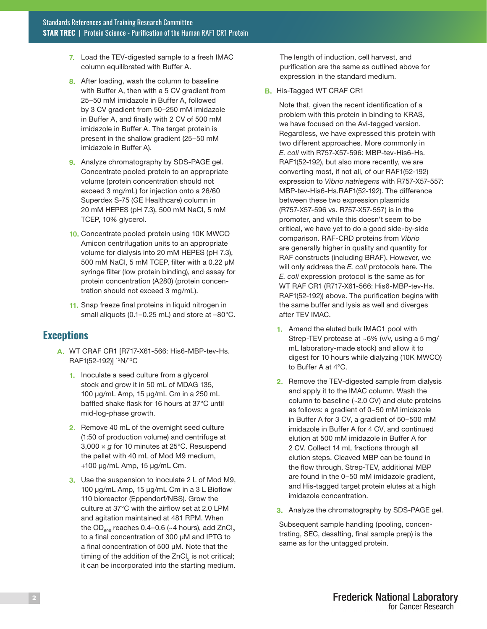- 7. Load the TEV-digested sample to a fresh IMAC column equilibrated with Buffer A.
- 8. After loading, wash the column to baseline with Buffer A, then with a 5 CV gradient from 25–50 mM imidazole in Buffer A, followed by 3 CV gradient from 50–250 mM imidazole in Buffer A, and finally with 2 CV of 500 mM imidazole in Buffer A. The target protein is present in the shallow gradient (25–50 mM imidazole in Buffer A).
- 9. Analyze chromatography by SDS-PAGE gel. Concentrate pooled protein to an appropriate volume (protein concentration should not exceed 3 mg/mL) for injection onto a 26/60 Superdex S-75 (GE Healthcare) column in 20 mM HEPES (pH 7.3), 500 mM NaCl, 5 mM TCEP, 10% glycerol.
- 10. Concentrate pooled protein using 10K MWCO Amicon centrifugation units to an appropriate volume for dialysis into 20 mM HEPES (pH 7.3), 500 mM NaCl, 5 mM TCEP, filter with a 0.22 µM syringe filter (low protein binding), and assay for protein concentration (A280) (protein concentration should not exceed 3 mg/mL).
- 11. Snap freeze final proteins in liquid nitrogen in small aliquots (0.1–0.25 mL) and store at –80°C.

### **Exceptions**

- A. WT CRAF CR1 [R717-X61-566: His6-MBP-tev-Hs. RAF1(52-192)] 15N/13C
	- 1. Inoculate a seed culture from a glycerol stock and grow it in 50 mL of MDAG 135, 100 μg/mL Amp, 15 μg/mL Cm in a 250 mL baffled shake flask for 16 hours at 37°C until mid-log-phase growth.
	- 2. Remove 40 mL of the overnight seed culture (1:50 of production volume) and centrifuge at 3,000 × *g* for 10 minutes at 25°C. Resuspend the pellet with 40 mL of Mod M9 medium, +100 μg/mL Amp, 15 μg/mL Cm.
	- 3. Use the suspension to inoculate 2 L of Mod M9, 100 μg/mL Amp, 15 μg/mL Cm in a 3 L Bioflow 110 bioreactor (Eppendorf/NBS). Grow the culture at 37°C with the airflow set at 2.0 LPM and agitation maintained at 481 RPM. When the OD $_{600}$  reaches 0.4–0.6 (~4 hours), add ZnCl<sub>2</sub> to a final concentration of 300 μM and IPTG to a final concentration of 500 μM. Note that the timing of the addition of the ZnCl $_2$  is not critical; it can be incorporated into the starting medium.

The length of induction, cell harvest, and purification are the same as outlined above for expression in the standard medium.

B. His-Tagged WT CRAF CR1

Note that, given the recent identification of a problem with this protein in binding to KRAS, we have focused on the Avi-tagged version. Regardless, we have expressed this protein with two different approaches. More commonly in *E. coli* with R757-X57-596: MBP-tev-His6-Hs. RAF1(52-192), but also more recently, we are converting most, if not all, of our RAF1(52-192) expression to *Vibrio natriegens* with R757-X57-557: MBP-tev-His6-Hs.RAF1(52-192). The difference between these two expression plasmids (R757-X57-596 vs. R757-X57-557) is in the promoter, and while this doesn't seem to be critical, we have yet to do a good side-by-side comparison. RAF-CRD proteins from *Vibrio* are generally higher in quality and quantity for RAF constructs (including BRAF). However, we will only address the *E. coli* protocols here. The *E. coli* expression protocol is the same as for WT RAF CR1 (R717-X61-566: His6-MBP-tev-Hs. RAF1(52-192)) above. The purification begins with the same buffer and lysis as well and diverges after TEV IMAC.

- 1. Amend the eluted bulk IMAC1 pool with Strep-TEV protease at ~6% (v/v, using a 5 mg/ mL laboratory-made stock) and allow it to digest for 10 hours while dialyzing (10K MWCO) to Buffer A at 4°C.
- 2. Remove the TEV-digested sample from dialysis and apply it to the IMAC column. Wash the column to baseline (~2.0 CV) and elute proteins as follows: a gradient of 0–50 mM imidazole in Buffer A for 3 CV, a gradient of 50–500 mM imidazole in Buffer A for 4 CV, and continued elution at 500 mM imidazole in Buffer A for 2 CV. Collect 14 mL fractions through all elution steps. Cleaved MBP can be found in the flow through, Strep-TEV, additional MBP are found in the 0–50 mM imidazole gradient, and His-tagged target protein elutes at a high imidazole concentration.
- 3. Analyze the chromatography by SDS-PAGE gel.

Subsequent sample handling (pooling, concentrating, SEC, desalting, final sample prep) is the same as for the untagged protein.